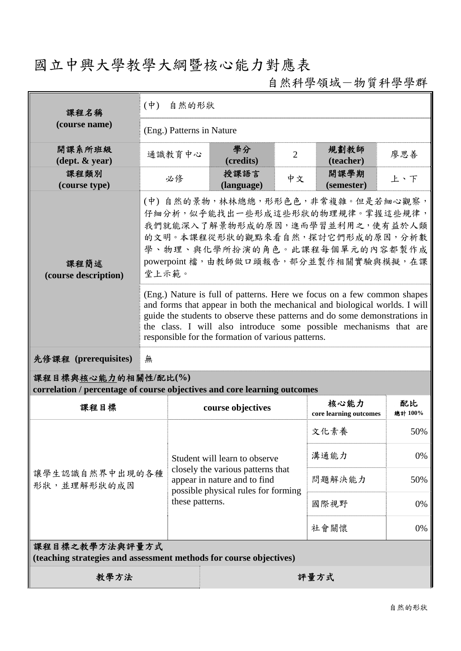## 國立中興大學教學大綱暨核心能力對應表

## 自然科學領域-物質科學學群

| 課程名稱<br>(course name)                                                                           | $(\dagger)$<br>自然的形狀                                                                                                                                                                                                                                                                                                                                            |                                                                                                                                                              |                    |                |                                |               |
|-------------------------------------------------------------------------------------------------|-----------------------------------------------------------------------------------------------------------------------------------------------------------------------------------------------------------------------------------------------------------------------------------------------------------------------------------------------------------------|--------------------------------------------------------------------------------------------------------------------------------------------------------------|--------------------|----------------|--------------------------------|---------------|
|                                                                                                 | (Eng.) Patterns in Nature                                                                                                                                                                                                                                                                                                                                       |                                                                                                                                                              |                    |                |                                |               |
| 開課系所班級<br>$(\text{dept.} \& \text{ year})$                                                      |                                                                                                                                                                                                                                                                                                                                                                 | 通識教育中心                                                                                                                                                       | 學分<br>(credits)    | $\overline{2}$ | 規劃教師<br>(teacher)              | 廖思善           |
| 課程類別<br>(course type)                                                                           |                                                                                                                                                                                                                                                                                                                                                                 | 必修                                                                                                                                                           | 授課語言<br>(language) | 中文             | 開課學期<br>(semester)             | 上、下           |
| 課程簡述<br>(course description)                                                                    | (中)自然的景物,林林總總,形形色色,非常複雜。但是若細心觀察,<br>仔細分析,似乎能找出一些形成這些形狀的物理規律。掌握這些規律,<br>我們就能深入了解景物形成的原因,進而學習並利用之,使有益於人類<br>的文明。本課程從形狀的觀點來看自然,探討它們形成的原因,分析數<br>學、物理、與化學所扮演的角色。此課程每個單元的內容都製作成<br>powerpoint 檔, 由教師做口頭報告, 部分並製作相關實驗與模擬, 在課<br>堂上示範。                                                                                                                                 |                                                                                                                                                              |                    |                |                                |               |
|                                                                                                 | (Eng.) Nature is full of patterns. Here we focus on a few common shapes<br>and forms that appear in both the mechanical and biological worlds. I will<br>guide the students to observe these patterns and do some demonstrations in<br>the class. I will also introduce some possible mechanisms that are<br>responsible for the formation of various patterns. |                                                                                                                                                              |                    |                |                                |               |
| 先修課程 (prerequisites)                                                                            | 無                                                                                                                                                                                                                                                                                                                                                               |                                                                                                                                                              |                    |                |                                |               |
| 課程目標與核心能力的相關性/配比(%)<br>correlation / percentage of course objectives and core learning outcomes |                                                                                                                                                                                                                                                                                                                                                                 |                                                                                                                                                              |                    |                |                                |               |
| 課程目標                                                                                            |                                                                                                                                                                                                                                                                                                                                                                 |                                                                                                                                                              | course objectives  |                | 核心能力<br>core learning outcomes | 配比<br>總計 100% |
| 讓學生認識自然界中出現的各種<br>形狀,並理解形狀的成因                                                                   |                                                                                                                                                                                                                                                                                                                                                                 | Student will learn to observe<br>closely the various patterns that<br>appear in nature and to find<br>possible physical rules for forming<br>these patterns. |                    |                | 文化素養                           | 50%           |
|                                                                                                 |                                                                                                                                                                                                                                                                                                                                                                 |                                                                                                                                                              |                    |                | 溝通能力                           | 0%            |
|                                                                                                 |                                                                                                                                                                                                                                                                                                                                                                 |                                                                                                                                                              |                    |                | 問題解決能力                         | 50%           |
|                                                                                                 |                                                                                                                                                                                                                                                                                                                                                                 |                                                                                                                                                              |                    |                | 國際視野                           | 0%            |
|                                                                                                 |                                                                                                                                                                                                                                                                                                                                                                 |                                                                                                                                                              |                    |                | 社會關懷                           | 0%            |
| 課程目標之教學方法與評量方式<br>(teaching strategies and assessment methods for course objectives)            |                                                                                                                                                                                                                                                                                                                                                                 |                                                                                                                                                              |                    |                |                                |               |
| 教學方法                                                                                            |                                                                                                                                                                                                                                                                                                                                                                 |                                                                                                                                                              |                    |                | 評量方式                           |               |